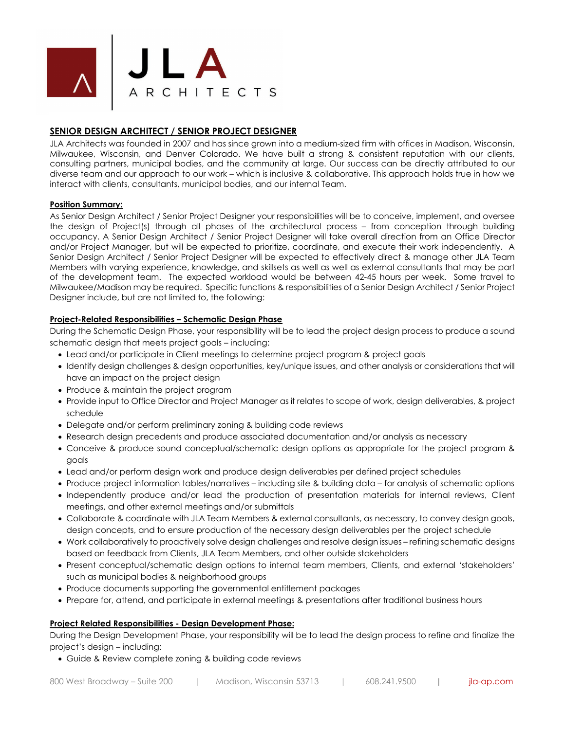

# **SENIOR DESIGN ARCHITECT / SENIOR PROJECT DESIGNER**

JLA Architects was founded in 2007 and has since grown into a medium-sized firm with offices in Madison, Wisconsin, Milwaukee, Wisconsin, and Denver Colorado. We have built a strong & consistent reputation with our clients, consulting partners, municipal bodies, and the community at large. Our success can be directly attributed to our diverse team and our approach to our work – which is inclusive & collaborative. This approach holds true in how we interact with clients, consultants, municipal bodies, and our internal Team.

### **Position Summary:**

As Senior Design Architect / Senior Project Designer your responsibilities will be to conceive, implement, and oversee the design of Project(s) through all phases of the architectural process – from conception through building occupancy. A Senior Design Architect / Senior Project Designer will take overall direction from an Office Director and/or Project Manager, but will be expected to prioritize, coordinate, and execute their work independently. A Senior Design Architect / Senior Project Designer will be expected to effectively direct & manage other JLA Team Members with varying experience, knowledge, and skillsets as well as well as external consultants that may be part of the development team. The expected workload would be between 42-45 hours per week. Some travel to Milwaukee/Madison may be required. Specific functions & responsibilities of a Senior Design Architect / Senior Project Designer include, but are not limited to, the following:

### **Project-Related Responsibilities – Schematic Design Phase**

During the Schematic Design Phase, your responsibility will be to lead the project design process to produce a sound schematic design that meets project goals – including:

- Lead and/or participate in Client meetings to determine project program & project goals
- Identify design challenges & design opportunities, key/unique issues, and other analysis or considerations that will have an impact on the project design
- Produce & maintain the project program
- Provide input to Office Director and Project Manager as it relates to scope of work, design deliverables, & project schedule
- Delegate and/or perform preliminary zoning & building code reviews
- Research design precedents and produce associated documentation and/or analysis as necessary
- Conceive & produce sound conceptual/schematic design options as appropriate for the project program & goals
- Lead and/or perform design work and produce design deliverables per defined project schedules
- Produce project information tables/narratives including site & building data for analysis of schematic options
- Independently produce and/or lead the production of presentation materials for internal reviews, Client meetings, and other external meetings and/or submittals
- Collaborate & coordinate with JLA Team Members & external consultants, as necessary, to convey design goals, design concepts, and to ensure production of the necessary design deliverables per the project schedule
- Work collaboratively to proactively solve design challenges and resolve design issues refining schematic designs based on feedback from Clients, JLA Team Members, and other outside stakeholders
- Present conceptual/schematic design options to internal team members, Clients, and external 'stakeholders' such as municipal bodies & neighborhood groups
- Produce documents supporting the governmental entitlement packages
- Prepare for, attend, and participate in external meetings & presentations after traditional business hours

### **Project Related Responsibilities - Design Development Phase:**

During the Design Development Phase, your responsibility will be to lead the design process to refine and finalize the project's design – including:

• Guide & Review complete zoning & building code reviews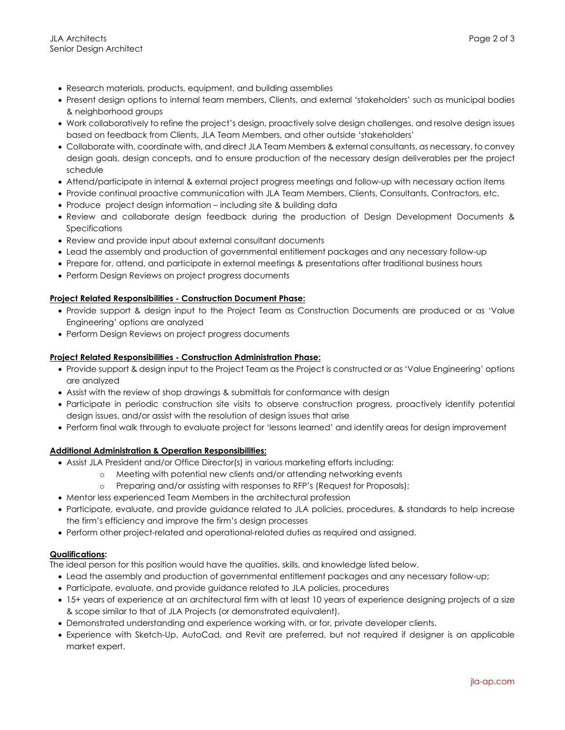- Research materials, products, equipment, and building assemblies
- Present design options to internal team members, Clients, and external 'stakeholders' such as municipal bodies & neighborhood groups
- Work collaboratively to refine the project's design, proactively solve design challenges, and resolve design issues based on feedback from Clients, JLA Team Members, and other outside 'stakeholders'
- Collaborate with, coordinate with, and direct JLA Team Members & external consultants, as necessary, to convey design goals, design concepts, and to ensure production of the necessary design deliverables per the project schedule
- Attend/participate in internal & external project progress meetings and follow-up with necessary action items
- Provide continual proactive communication with JLA Team Members, Clients, Consultants, Contractors, etc.
- Produce project design information including site & building data
- Review and collaborate design feedback during the production of Design Development Documents & Specifications
- Review and provide input about external consultant documents
- Lead the assembly and production of governmental entitlement packages and any necessary follow-up
- Prepare for, attend, and participate in external meetings & presentations after traditional business hours
- Perform Design Reviews on project progress documents

### **Project Related Responsibilities - Construction Document Phase:**

- Provide support & design input to the Project Team as Construction Documents are produced or as 'Value Engineering' options are analyzed
- Perform Design Reviews on project progress documents

### **Project Related Responsibilities - Construction Administration Phase:**

- Provide support & design input to the Project Team as the Project is constructed or as 'Value Engineering' options are analyzed
- Assist with the review of shop drawings & submittals for conformance with design
- Participate in periodic construction site visits to observe construction progress, proactively identify potential design issues, and/or assist with the resolution of design issues that arise
- Perform final walk through to evaluate project for 'lessons learned' and identify areas for design improvement

### **Additional Administration & Operation Responsibilities:**

- Assist JLA President and/or Office Director(s) in various marketing efforts including:
	- o Meeting with potential new clients and/or attending networking events
	- o Preparing and/or assisting with responses to RFP's (Request for Proposals);
- Mentor less experienced Team Members in the architectural profession
- Participate, evaluate, and provide guidance related to JLA policies, procedures, & standards to help increase the firm's efficiency and improve the firm's design processes
- Perform other project-related and operational-related duties as required and assigned.

### **Qualifications:**

The ideal person for this position would have the qualities, skills, and knowledge listed below.

- Lead the assembly and production of governmental entitlement packages and any necessary follow-up;
- Participate, evaluate, and provide guidance related to JLA policies, procedures
- 15+ years of experience at an architectural firm with at least 10 years of experience designing projects of a size & scope similar to that of JLA Projects (or demonstrated equivalent).
- Demonstrated understanding and experience working with, or for, private developer clients.
- Experience with Sketch-Up, AutoCad, and Revit are preferred, but not required if designer is an applicable market expert.